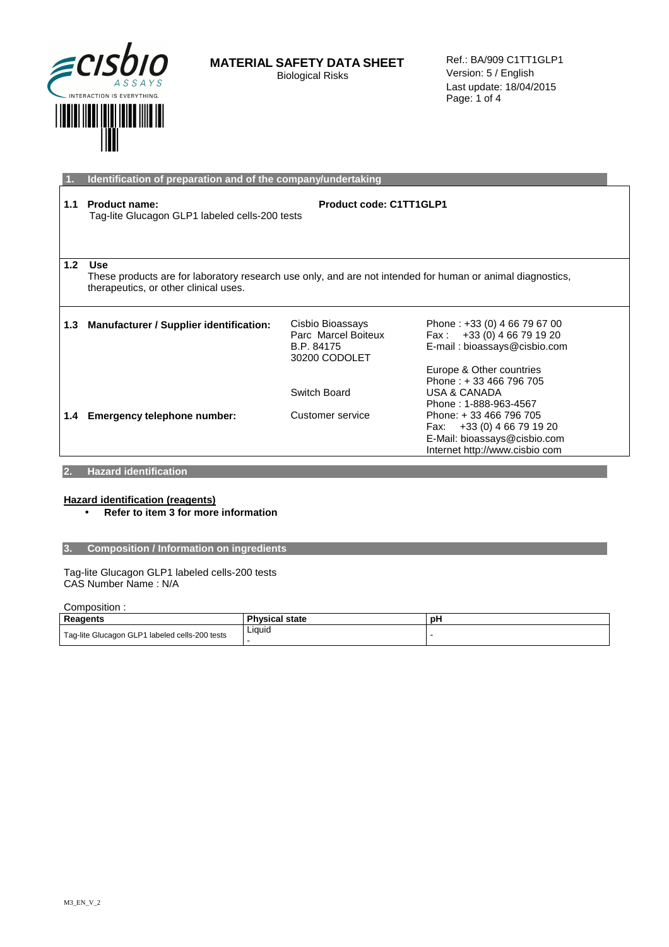

Ref.: BA/909 C1TT1GLP1 Version: 5 / English Last update: 18/04/2015 Page: 1 of 4

|     | Identification of preparation and of the company/undertaking                                                                                                      |                                                                        |                                                                                                                           |
|-----|-------------------------------------------------------------------------------------------------------------------------------------------------------------------|------------------------------------------------------------------------|---------------------------------------------------------------------------------------------------------------------------|
| 1.1 | <b>Product name:</b><br>Tag-lite Glucagon GLP1 labeled cells-200 tests                                                                                            | Product code: C1TT1GLP1                                                |                                                                                                                           |
| 1.2 | <b>Use</b><br>These products are for laboratory research use only, and are not intended for human or animal diagnostics,<br>therapeutics, or other clinical uses. |                                                                        |                                                                                                                           |
| 1.3 | Manufacturer / Supplier identification:                                                                                                                           | Cisbio Bioassays<br>Parc Marcel Boiteux<br>B.P. 84175<br>30200 CODOLET | Phone: +33 (0) 4 66 79 67 00<br>Fax: $+33(0)$ 4 66 79 19 20<br>E-mail: bioassays@cisbio.com                               |
|     |                                                                                                                                                                   | Switch Board                                                           | Europe & Other countries<br>Phone: +33 466 796 705<br>USA & CANADA<br>Phone: 1-888-963-4567                               |
| 1.4 | Emergency telephone number:                                                                                                                                       | Customer service                                                       | Phone: +33 466 796 705<br>+33 (0) 4 66 79 19 20<br>Fax:<br>E-Mail: bioassays@cisbio.com<br>Internet http://www.cisbio com |

### **2. Hazard identification**

# **Hazard identification (reagents)**

• **Refer to item 3 for more information** 

# **3. Composition / Information on ingredients**

Tag-lite Glucagon GLP1 labeled cells-200 tests CAS Number Name : N/A

Composition :

| --------------                                 |                       |  |
|------------------------------------------------|-----------------------|--|
| Reagents                                       | <b>Physical state</b> |  |
| Tag-lite Glucagon GLP1 labeled cells-200 tests | Liquid                |  |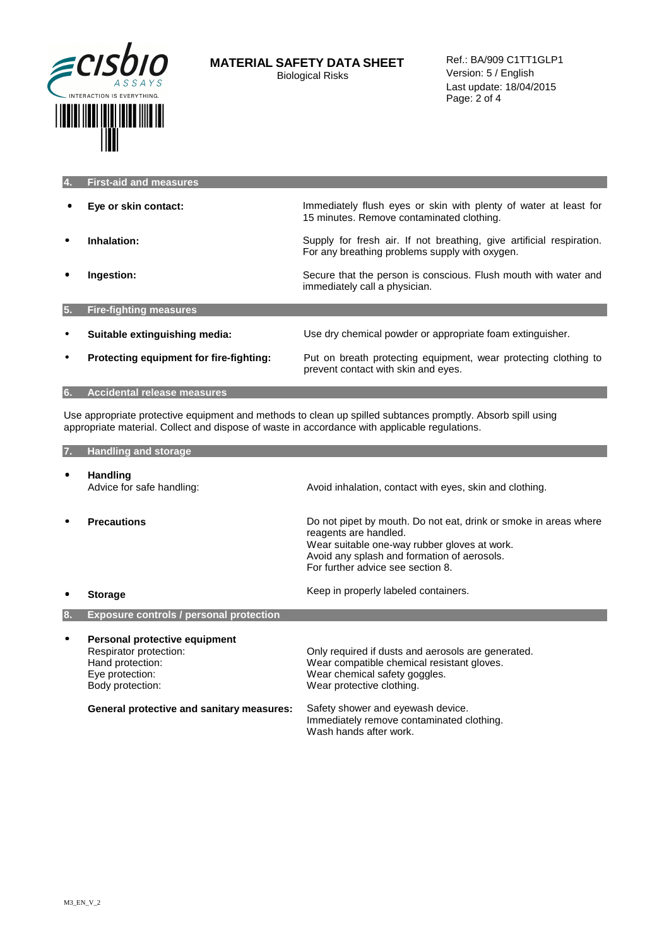

|     | <b>First-aid and measures</b>           |                                                                                                                        |
|-----|-----------------------------------------|------------------------------------------------------------------------------------------------------------------------|
|     | Eye or skin contact:                    | Immediately flush eyes or skin with plenty of water at least for<br>15 minutes. Remove contaminated clothing.          |
|     | Inhalation:                             | Supply for fresh air. If not breathing, give artificial respiration.<br>For any breathing problems supply with oxygen. |
|     | Ingestion:                              | Secure that the person is conscious. Flush mouth with water and<br>immediately call a physician.                       |
| 15. | <b>Fire-fighting measures</b>           |                                                                                                                        |
|     | Suitable extinguishing media:           | Use dry chemical powder or appropriate foam extinguisher.                                                              |
|     | Protecting equipment for fire-fighting: | Put on breath protecting equipment, wear protecting clothing to<br>prevent contact with skin and eyes.                 |
| 6.  | <b>Accidental release measures</b>      |                                                                                                                        |

Use appropriate protective equipment and methods to clean up spilled subtances promptly. Absorb spill using appropriate material. Collect and dispose of waste in accordance with applicable regulations.

| 7. | <b>Handling and storage</b>                                                                                        |                                                                                                                                                                                                                               |
|----|--------------------------------------------------------------------------------------------------------------------|-------------------------------------------------------------------------------------------------------------------------------------------------------------------------------------------------------------------------------|
|    | <b>Handling</b><br>Advice for safe handling:                                                                       | Avoid inhalation, contact with eyes, skin and clothing.                                                                                                                                                                       |
|    | <b>Precautions</b>                                                                                                 | Do not pipet by mouth. Do not eat, drink or smoke in areas where<br>reagents are handled.<br>Wear suitable one-way rubber gloves at work.<br>Avoid any splash and formation of aerosols.<br>For further advice see section 8. |
|    | <b>Storage</b>                                                                                                     | Keep in properly labeled containers.                                                                                                                                                                                          |
| 8. | <b>Exposure controls / personal protection</b>                                                                     |                                                                                                                                                                                                                               |
|    | Personal protective equipment<br>Respirator protection:<br>Hand protection:<br>Eye protection:<br>Body protection: | Only required if dusts and aerosols are generated.<br>Wear compatible chemical resistant gloves.<br>Wear chemical safety goggles.<br>Wear protective clothing.                                                                |
|    | <b>General protective and sanitary measures:</b>                                                                   | Safety shower and eyewash device.<br>Immediately remove contaminated clothing.<br>Wash hands after work.                                                                                                                      |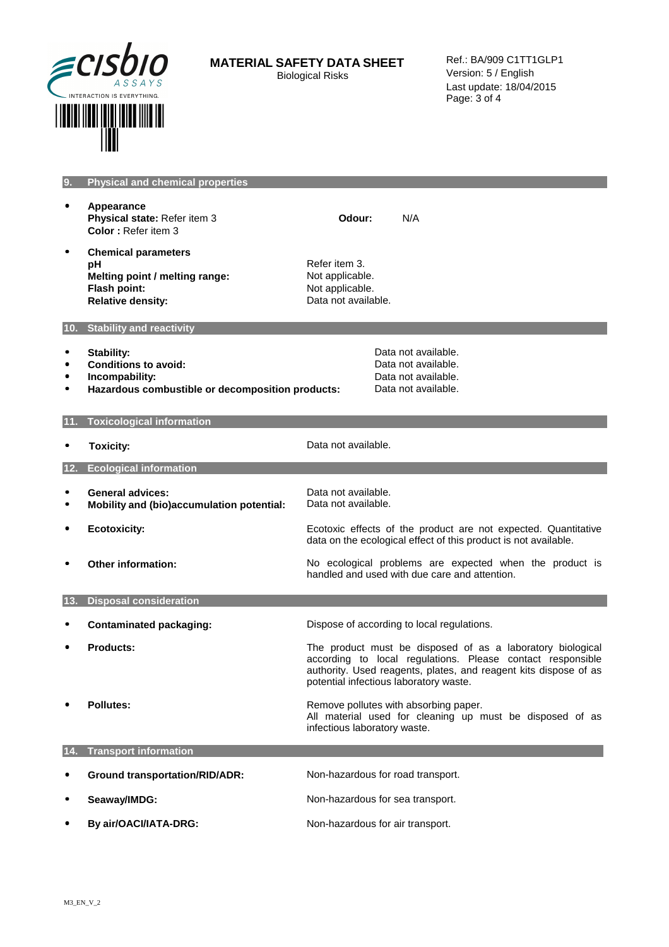

Ref.: BA/909 C1TT1GLP1 Version: 5 / English Last update: 18/04/2015 Page: 3 of 4

| 9. | $\mid$ Physical and chemical properties, |  |
|----|------------------------------------------|--|
|    |                                          |  |

- • **Appearance Physical state: Refer item 3 Color :** Refer item 3
- • **Chemical parameters pH** Refer item 3.<br> **Melting point / melting range:** Not applicable. **Melting point / melting range:**<br>Flash point: **Relative density: CONSIDERED EXAMPLE A RELATIONS** Data not available.

Not applicable.

**Odour:** N/A

### **10. Stability and reactivity**

- 
- Stability: **but a stability:** Data not available.<br>• Conditions to avoid: **Data not available.** Data not available. • Conditions to avoid:<br>• Incompability:
- 
- **•** Incompability: Data not available.<br>• **Hazardous combustible or decomposition products:** Data not available. • Hazardous combustible or decomposition products:

# **11. Toxicological information**

|     | <b>Toxicity:</b>                                                     | Data not available.                                                                                                                                                                                                                    |
|-----|----------------------------------------------------------------------|----------------------------------------------------------------------------------------------------------------------------------------------------------------------------------------------------------------------------------------|
| 12. | <b>Ecological information</b>                                        |                                                                                                                                                                                                                                        |
|     | <b>General advices:</b><br>Mobility and (bio)accumulation potential: | Data not available.<br>Data not available.                                                                                                                                                                                             |
|     | <b>Ecotoxicity:</b>                                                  | Ecotoxic effects of the product are not expected. Quantitative<br>data on the ecological effect of this product is not available.                                                                                                      |
|     | Other information:                                                   | No ecological problems are expected when the product is<br>handled and used with due care and attention.                                                                                                                               |
| 13. | <b>Disposal consideration</b>                                        |                                                                                                                                                                                                                                        |
|     | <b>Contaminated packaging:</b>                                       | Dispose of according to local regulations.                                                                                                                                                                                             |
|     | <b>Products:</b>                                                     | The product must be disposed of as a laboratory biological<br>according to local regulations. Please contact responsible<br>authority. Used reagents, plates, and reagent kits dispose of as<br>potential infectious laboratory waste. |
|     | Pollutes:                                                            | Remove pollutes with absorbing paper.<br>All material used for cleaning up must be disposed of as<br>infectious laboratory waste.                                                                                                      |
|     | <b>Transport information</b>                                         |                                                                                                                                                                                                                                        |
|     | <b>Ground transportation/RID/ADR:</b>                                | Non-hazardous for road transport.                                                                                                                                                                                                      |
|     | Seaway/IMDG:                                                         | Non-hazardous for sea transport.                                                                                                                                                                                                       |
|     | By air/OACI/IATA-DRG:                                                | Non-hazardous for air transport.                                                                                                                                                                                                       |